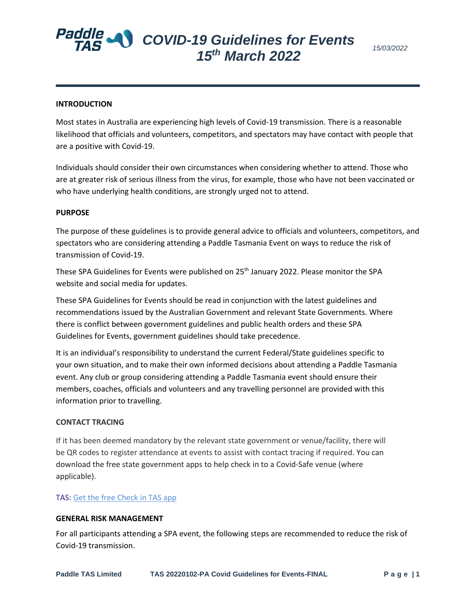# *COVID-19 Guidelines for Events 15th March 2022*

## **INTRODUCTION**

Most states in Australia are experiencing high levels of Covid-19 transmission. There is a reasonable likelihood that officials and volunteers, competitors, and spectators may have contact with people that are a positive with Covid-19.

Individuals should consider their own circumstances when considering whether to attend. Those who are at greater risk of serious illness from the virus, for example, those who have not been vaccinated or who have underlying health conditions, are strongly urged not to attend.

#### **PURPOSE**

The purpose of these guidelines is to provide general advice to officials and volunteers, competitors, and spectators who are considering attending a Paddle Tasmania Event on ways to reduce the risk of transmission of Covid-19.

These SPA Guidelines for Events were published on 25<sup>th</sup> January 2022. Please monitor the SPA website and social media for updates.

These SPA Guidelines for Events should be read in conjunction with the latest guidelines and recommendations issued by the Australian Government and relevant State Governments. Where there is conflict between government guidelines and public health orders and these SPA Guidelines for Events, government guidelines should take precedence.

It is an individual's responsibility to understand the current Federal/State guidelines specific to your own situation, and to make their own informed decisions about attending a Paddle Tasmania event. Any club or group considering attending a Paddle Tasmania event should ensure their members, coaches, officials and volunteers and any travelling personnel are provided with this information prior to travelling.

#### **CONTACT TRACING**

If it has been deemed mandatory by the relevant state government or venue/facility, there will be QR codes to register attendance at events to assist with contact tracing if required. You can download the free state government apps to help check in to a Covid-Safe venue (where applicable).

#### TAS: [Get the free Check in TAS app](https://play.google.com/store/apps/details?id=au.gov.tas.checkin&hl=en_AU&gl=US)

#### **GENERAL RISK MANAGEMENT**

For all participants attending a SPA event, the following steps are recommended to reduce the risk of Covid-19 transmission.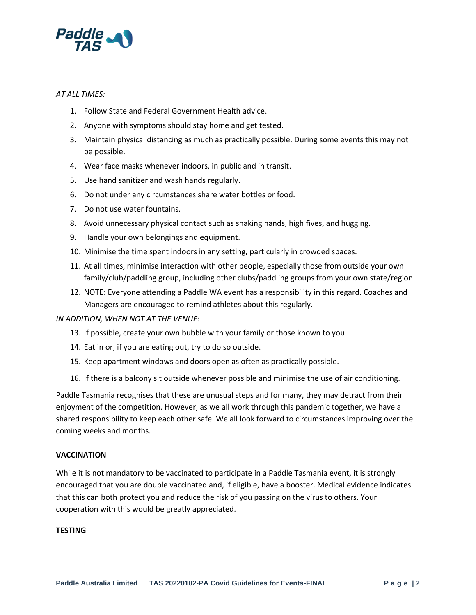

# *AT ALL TIMES:*

- 1. Follow State and Federal Government Health advice.
- 2. Anyone with symptoms should stay home and get tested.
- 3. Maintain physical distancing as much as practically possible. During some events this may not be possible.
- 4. Wear face masks whenever indoors, in public and in transit.
- 5. Use hand sanitizer and wash hands regularly.
- 6. Do not under any circumstances share water bottles or food.
- 7. Do not use water fountains.
- 8. Avoid unnecessary physical contact such as shaking hands, high fives, and hugging.
- 9. Handle your own belongings and equipment.
- 10. Minimise the time spent indoors in any setting, particularly in crowded spaces.
- 11. At all times, minimise interaction with other people, especially those from outside your own family/club/paddling group, including other clubs/paddling groups from your own state/region.
- 12. NOTE: Everyone attending a Paddle WA event has a responsibility in this regard. Coaches and Managers are encouraged to remind athletes about this regularly.

# *IN ADDITION, WHEN NOT AT THE VENUE:*

- 13. If possible, create your own bubble with your family or those known to you.
- 14. Eat in or, if you are eating out, try to do so outside.
- 15. Keep apartment windows and doors open as often as practically possible.
- 16. If there is a balcony sit outside whenever possible and minimise the use of air conditioning.

Paddle Tasmania recognises that these are unusual steps and for many, they may detract from their enjoyment of the competition. However, as we all work through this pandemic together, we have a shared responsibility to keep each other safe. We all look forward to circumstances improving over the coming weeks and months.

# **VACCINATION**

While it is not mandatory to be vaccinated to participate in a Paddle Tasmania event, it is strongly encouraged that you are double vaccinated and, if eligible, have a booster. Medical evidence indicates that this can both protect you and reduce the risk of you passing on the virus to others. Your cooperation with this would be greatly appreciated.

## **TESTING**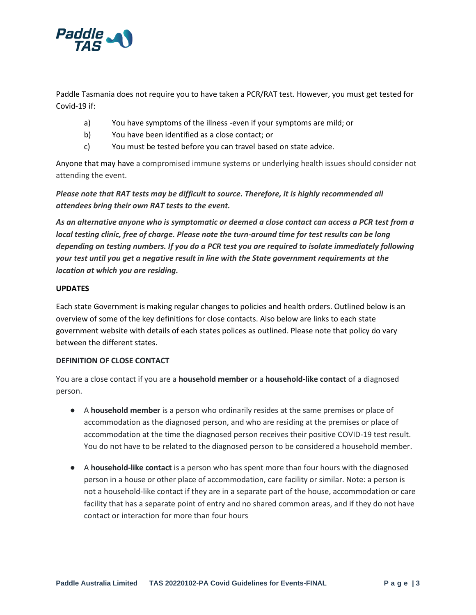

Paddle Tasmania does not require you to have taken a PCR/RAT test. However, you must get tested for Covid-19 if:

- a) You have symptoms of the illness -even if your symptoms are mild; or
- b) You have been identified as a close contact; or
- c) You must be tested before you can travel based on state advice.

Anyone that may have a compromised immune systems or underlying health issues should consider not attending the event.

*Please note that RAT tests may be difficult to source. Therefore, it is highly recommended all attendees bring their own RAT tests to the event.*

*As an alternative anyone who is symptomatic or deemed a close contact can access a PCR test from a local testing clinic, free of charge. Please note the turn-around time for test results can be long depending on testing numbers. If you do a PCR test you are required to isolate immediately following your test until you get a negative result in line with the State government requirements at the location at which you are residing.*

# **UPDATES**

Each state Government is making regular changes to policies and health orders. Outlined below is an overview of some of the key definitions for close contacts. Also below are links to each state government website with details of each states polices as outlined. Please note that policy do vary between the different states.

## **DEFINITION OF CLOSE CONTACT**

You are a close contact if you are a **household member** or a **household-like contact** of a diagnosed person.

- A **household member** is a person who ordinarily resides at the same premises or place of accommodation as the diagnosed person, and who are residing at the premises or place of accommodation at the time the diagnosed person receives their positive COVID-19 test result. You do not have to be related to the diagnosed person to be considered a household member.
- A **household-like contact** is a person who has spent more than four hours with the diagnosed person in a house or other place of accommodation, care facility or similar. Note: a person is not a household-like contact if they are in a separate part of the house, accommodation or care facility that has a separate point of entry and no shared common areas, and if they do not have contact or interaction for more than four hours